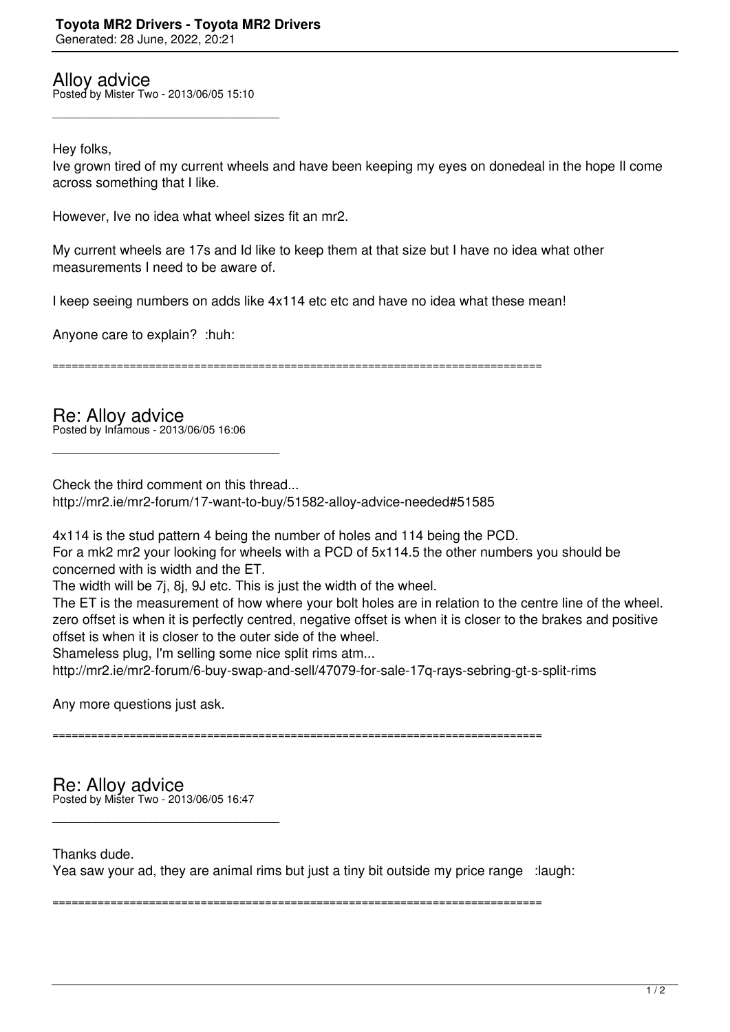Alloy advice Posted by Mister Two - 2013/06/05 15:10

\_\_\_\_\_\_\_\_\_\_\_\_\_\_\_\_\_\_\_\_\_\_\_\_\_\_\_\_\_\_\_\_\_\_\_\_\_

Hey folks,

Ive grown tired of my current wheels and have been keeping my eyes on donedeal in the hope Il come across something that I like.

However, Ive no idea what wheel sizes fit an mr2.

My current wheels are 17s and Id like to keep them at that size but I have no idea what other measurements I need to be aware of.

I keep seeing numbers on adds like 4x114 etc etc and have no idea what these mean!

Anyone care to explain? :huh:

============================================================================

Re: Alloy advice Posted by Infamous - 2013/06/05 16:06

\_\_\_\_\_\_\_\_\_\_\_\_\_\_\_\_\_\_\_\_\_\_\_\_\_\_\_\_\_\_\_\_\_\_\_\_\_

Check the third comment on this thread... http://mr2.ie/mr2-forum/17-want-to-buy/51582-alloy-advice-needed#51585

4x114 is the stud pattern 4 being the number of holes and 114 being the PCD.

For a mk2 mr2 your looking for wheels with a PCD of 5x114.5 the other numbers you should be concerned with is width and the ET.

The width will be 7j, 8j, 9J etc. This is just the width of the wheel.

The ET is the measurement of how where your bolt holes are in relation to the centre line of the wheel. zero offset is when it is perfectly centred, negative offset is when it is closer to the brakes and positive offset is when it is closer to the outer side of the wheel.

Shameless plug, I'm selling some nice split rims atm...

http://mr2.ie/mr2-forum/6-buy-swap-and-sell/47079-for-sale-17q-rays-sebring-gt-s-split-rims

Any more questions just ask.

============================================================================

Re: Alloy advice Posted by Mister Two - 2013/06/05 16:47

\_\_\_\_\_\_\_\_\_\_\_\_\_\_\_\_\_\_\_\_\_\_\_\_\_\_\_\_\_\_\_\_\_\_\_\_\_

Thanks dude. Yea saw your ad, they are animal rims but just a tiny bit outside my price range :laugh:

============================================================================